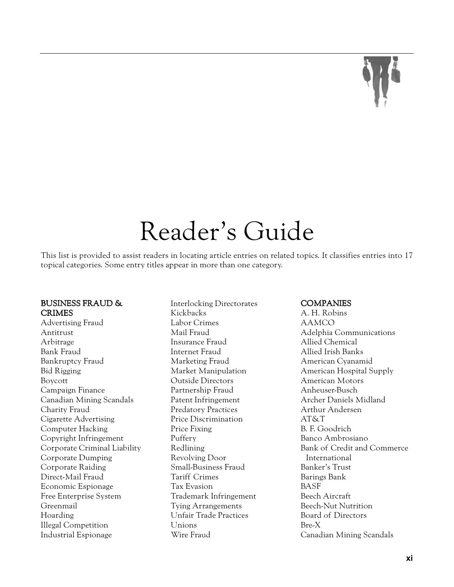

# Reader's Guide

This list is provided to assist readers in locating article entries on related topics. It classifies entries into 17 topical categories. Some entry titles appear in more than one category.

## BUSINESS FRAUD & **CRIMES**

Advertising Fraud Antitrust Arbitrage Bank Fraud Bankruptcy Fraud Bid Rigging Boycott Campaign Finance Canadian Mining Scandals Charity Fraud Cigarette Advertising Computer Hacking Copyright Infringement Corporate Criminal Liability Corporate Dumping Corporate Raiding Direct-Mail Fraud Economic Espionage Free Enterprise System Greenmail Hoarding Illegal Competition Industrial Espionage

Interlocking Directorates Kickbacks Labor Crimes Mail Fraud Insurance Fraud Internet Fraud Marketing Fraud Market Manipulation Outside Directors Partnership Fraud Patent Infringement Predatory Practices Price Discrimination Price Fixing Puffery Redlining Revolving Door Small-Business Fraud Tariff Crimes Tax Evasion Trademark Infringement Tying Arrangements Unfair Trade Practices Unions Wire Fraud

# **COMPANIES**

A. H. Robins AAMCO Adelphia Communications Allied Chemical Allied Irish Banks American Cyanamid American Hospital Supply American Motors Anheuser-Busch Archer Daniels Midland Arthur Andersen AT&T B. F. Goodrich Banco Ambrosiano Bank of Credit and Commerce International Banker's Trust Barings Bank BASF Beech Aircraft Beech-Nut Nutrition Board of Directors Bre-X Canadian Mining Scandals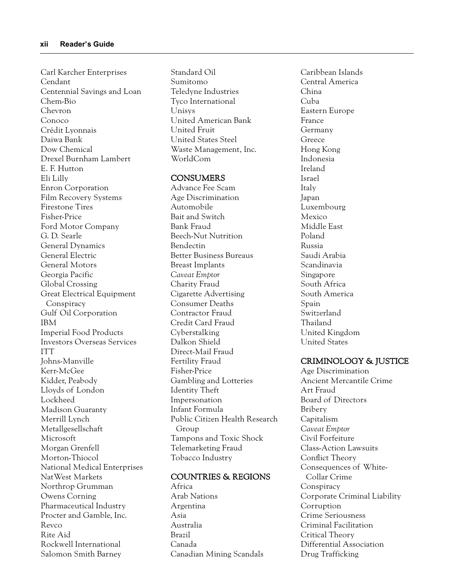Carl Karcher Enterprises Cendant Centennial Savings and Loan Chem-Bio Chevron Conoco Crédit Lyonnais Daiwa Bank Dow Chemical Drexel Burnham Lambert E. F. Hutton Eli Lilly Enron Corporation Film Recovery Systems Firestone Tires Fisher-Price Ford Motor Company G. D. Searle General Dynamics General Electric General Motors Georgia Pacific Global Crossing Great Electrical Equipment Conspiracy Gulf Oil Corporation IBM Imperial Food Products Investors Overseas Services ITT Johns-Manville Kerr-McGee Kidder, Peabody Lloyds of London Lockheed Madison Guaranty Merrill Lynch Metallgesellschaft Microsoft Morgan Grenfell Morton-Thiocol National Medical Enterprises NatWest Markets Northrop Grumman Owens Corning Pharmaceutical Industry Procter and Gamble, Inc. Revco Rite Aid Rockwell International Salomon Smith Barney

Standard Oil Sumitomo Teledyne Industries Tyco International Unisys United American Bank United Fruit United States Steel Waste Management, Inc. WorldCom

## **CONSUMERS**

Advance Fee Scam Age Discrimination Automobile Bait and Switch Bank Fraud Beech-Nut Nutrition Bendectin Better Business Bureaus Breast Implants *Caveat Emptor* Charity Fraud Cigarette Advertising Consumer Deaths Contractor Fraud Credit Card Fraud Cyberstalking Dalkon Shield Direct-Mail Fraud Fertility Fraud Fisher-Price Gambling and Lotteries Identity Theft Impersonation Infant Formula Public Citizen Health Research Group Tampons and Toxic Shock Telemarketing Fraud Tobacco Industry

## COUNTRIES & REGIONS

Africa Arab Nations Argentina Asia Australia Brazil Canada Canadian Mining Scandals Caribbean Islands Central America China Cuba Eastern Europe France Germany Greece Hong Kong Indonesia Ireland Israel Italy Japan Luxembourg Mexico Middle East Poland Russia Saudi Arabia Scandinavia Singapore South Africa South America Spain Switzerland Thailand United Kingdom United States

#### CRIMINOLOGY & JUSTICE

Age Discrimination Ancient Mercantile Crime Art Fraud Board of Directors Bribery Capitalism *Caveat Emptor* Civil Forfeiture Class-Action Lawsuits Conflict Theory Consequences of White-Collar Crime Conspiracy Corporate Criminal Liability Corruption Crime Seriousness Criminal Facilitation Critical Theory Differential Association Drug Trafficking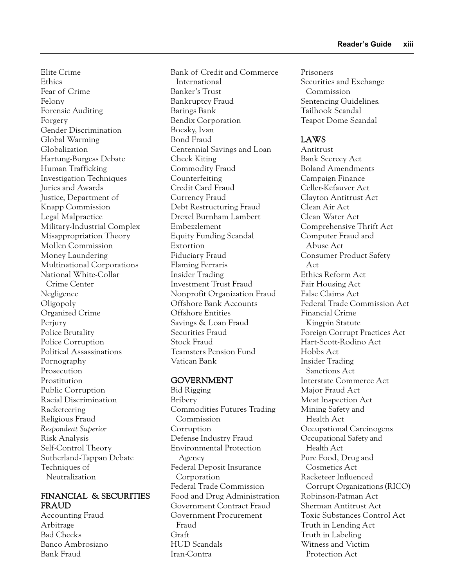Elite Crime Ethics Fear of Crime Felony Forensic Auditing Forgery Gender Discrimination Global Warming Globalization Hartung-Burgess Debate Human Trafficking Investigation Techniques Juries and Awards Justice, Department of Knapp Commission Legal Malpractice Military-Industrial Complex Misappropriation Theory Mollen Commission Money Laundering Multinational Corporations National White-Collar Crime Center Negligence Oligopoly Organized Crime Perjury Police Brutality Police Corruption Political Assassinations Pornography Prosecution Prostitution Public Corruption Racial Discrimination Racketeering Religious Fraud *Respondeat Superior* Risk Analysis Self-Control Theory Sutherland-Tappan Debate Techniques of Neutralization

# FINANCIAL & SECURITIES FRAUD

Accounting Fraud Arbitrage Bad Checks Banco Ambrosiano Bank Fraud

Bank of Credit and Commerce International Banker's Trust Bankruptcy Fraud Barings Bank Bendix Corporation Boesky, Ivan Bond Fraud Centennial Savings and Loan Check Kiting Commodity Fraud Counterfeiting Credit Card Fraud Currency Fraud Debt Restructuring Fraud Drexel Burnham Lambert Embezzlement Equity Funding Scandal Extortion Fiduciary Fraud Flaming Ferraris Insider Trading Investment Trust Fraud Nonprofit Organization Fraud Offshore Bank Accounts Offshore Entities Savings & Loan Fraud Securities Fraud Stock Fraud Teamsters Pension Fund Vatican Bank

#### GOVERNMENT

Bid Rigging Bribery Commodities Futures Trading Commission Corruption Defense Industry Fraud Environmental Protection Agency Federal Deposit Insurance Corporation Federal Trade Commission Food and Drug Administration Government Contract Fraud Government Procurement Fraud Graft HUD Scandals Iran-Contra

Prisoners Securities and Exchange Commission Sentencing Guidelines. Tailhook Scandal Teapot Dome Scandal

## LAWS

Antitrust Bank Secrecy Act Boland Amendments Campaign Finance Celler-Kefauver Act Clayton Antitrust Act Clean Air Act Clean Water Act Comprehensive Thrift Act Computer Fraud and Abuse Act Consumer Product Safety Act Ethics Reform Act Fair Housing Act False Claims Act Federal Trade Commission Act Financial Crime Kingpin Statute Foreign Corrupt Practices Act Hart-Scott-Rodino Act Hobbs Act Insider Trading Sanctions Act Interstate Commerce Act Major Fraud Act Meat Inspection Act Mining Safety and Health Act Occupational Carcinogens Occupational Safety and Health Act Pure Food, Drug and Cosmetics Act Racketeer Influenced Corrupt Organizations (RICO) Robinson-Patman Act Sherman Antitrust Act Toxic Substances Control Act Truth in Lending Act Truth in Labeling Witness and Victim Protection Act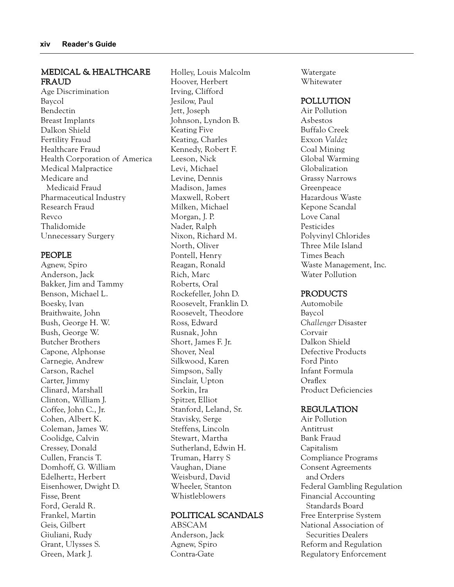## MEDICAL & HEALTHCARE FRAUD

Age Discrimination Baycol Bendectin Breast Implants Dalkon Shield Fertility Fraud Healthcare Fraud Health Corporation of America Medical Malpractice Medicare and Medicaid Fraud Pharmaceutical Industry Research Fraud Revco Thalidomide Unnecessary Surgery

#### PEOPLE

Agnew, Spiro Anderson, Jack Bakker, Jim and Tammy Benson, Michael L. Boesky, Ivan Braithwaite, John Bush, George H. W. Bush, George W. Butcher Brothers Capone, Alphonse Carnegie, Andrew Carson, Rachel Carter, Jimmy Clinard, Marshall Clinton, William J. Coffee, John C., Jr. Cohen, Albert K. Coleman, James W. Coolidge, Calvin Cressey, Donald Cullen, Francis T. Domhoff, G. William Edelhertz, Herbert Eisenhower, Dwight D. Fisse, Brent Ford, Gerald R. Frankel, Martin Geis, Gilbert Giuliani, Rudy Grant, Ulysses S. Green, Mark J.

Holley, Louis Malcolm Hoover, Herbert Irving, Clifford Jesilow, Paul Jett, Joseph Johnson, Lyndon B. Keating Five Keating, Charles Kennedy, Robert F. Leeson, Nick Levi, Michael Levine, Dennis Madison, James Maxwell, Robert Milken, Michael Morgan, J. P. Nader, Ralph Nixon, Richard M. North, Oliver Pontell, Henry Reagan, Ronald Rich, Marc Roberts, Oral Rockefeller, John D. Roosevelt, Franklin D. Roosevelt, Theodore Ross, Edward Rusnak, John Short, James F. Jr. Shover, Neal Silkwood, Karen Simpson, Sally Sinclair, Upton Sorkin, Ira Spitzer, Elliot Stanford, Leland, Sr. Stavisky, Serge Steffens, Lincoln Stewart, Martha Sutherland, Edwin H. Truman, Harry S Vaughan, Diane Weisburd, David Wheeler, Stanton Whistleblowers

#### POLITICAL SCANDALS

ABSCAM Anderson, Jack Agnew, Spiro Contra-Gate

Watergate Whitewater

#### POLLUTION

Air Pollution Asbestos Buffalo Creek Exxon *Valdez* Coal Mining Global Warming Globalization Grassy Narrows Greenpeace Hazardous Waste Kepone Scandal Love Canal Pesticides Polyvinyl Chlorides Three Mile Island Times Beach Waste Management, Inc. Water Pollution

#### PRODUCTS

Automobile Baycol *Challenger* Disaster Corvair Dalkon Shield Defective Products Ford Pinto Infant Formula Oraflex Product Deficiencies

## REGULATION

Air Pollution Antitrust Bank Fraud Capitalism Compliance Programs Consent Agreements and Orders Federal Gambling Regulation Financial Accounting Standards Board Free Enterprise System National Association of Securities Dealers Reform and Regulation Regulatory Enforcement